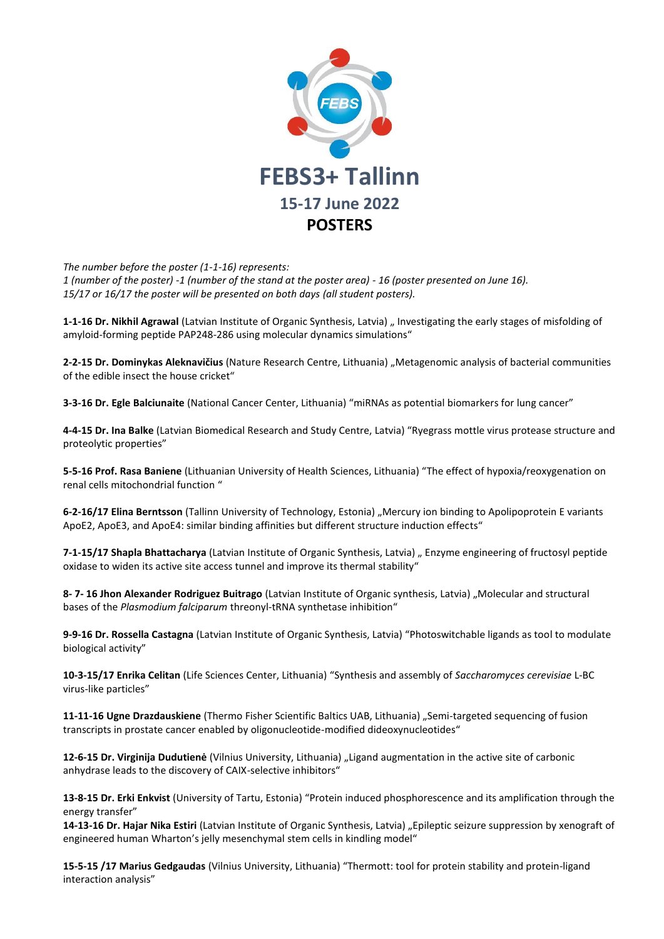

*The number before the poster (1-1-16) represents: 1 (number of the poster) -1 (number of the stand at the poster area) - 16 (poster presented on June 16). 15/17 or 16/17 the poster will be presented on both days (all student posters).* 

**1-1-16 Dr. Nikhil Agrawal** (Latvian Institute of Organic Synthesis, Latvia) " Investigating the early stages of misfolding of amyloid-forming peptide PAP248-286 using molecular dynamics simulations"

**2-2-15 Dr. Dominykas Aleknavičius** (Nature Research Centre, Lithuania) "Metagenomic analysis of bacterial communities of the edible insect the house cricket"

**3-3-16 Dr. Egle Balciunaite** (National Cancer Center, Lithuania) "miRNAs as potential biomarkers for lung cancer"

**4-4-15 Dr. Ina Balke** (Latvian Biomedical Research and Study Centre, Latvia) "Ryegrass mottle virus protease structure and proteolytic properties"

**5-5-16 Prof. Rasa Baniene** (Lithuanian University of Health Sciences, Lithuania) "The effect of hypoxia/reoxygenation on renal cells mitochondrial function "

6-2-16/17 Elina Berntsson (Tallinn University of Technology, Estonia) "Mercury ion binding to Apolipoprotein E variants ApoE2, ApoE3, and ApoE4: similar binding affinities but different structure induction effects"

**7-1-15/17 Shapla Bhattacharya** (Latvian Institute of Organic Synthesis, Latvia) " Enzyme engineering of fructosyl peptide oxidase to widen its active site access tunnel and improve its thermal stability"

**8- 7- 16 Jhon Alexander Rodriguez Buitrago** (Latvian Institute of Organic synthesis, Latvia) "Molecular and structural bases of the *Plasmodium falciparum* threonyl-tRNA synthetase inhibition"

**9-9-16 Dr. Rossella Castagna** (Latvian Institute of Organic Synthesis, Latvia) "Photoswitchable ligands as tool to modulate biological activity"

**10-3-15/17 Enrika Celitan** (Life Sciences Center, Lithuania) "Synthesis and assembly of *Saccharomyces cerevisiae* L-BC virus-like particles"

**11-11-16 Ugne Drazdauskiene** (Thermo Fisher Scientific Baltics UAB, Lithuania) "Semi-targeted sequencing of fusion transcripts in prostate cancer enabled by oligonucleotide-modified dideoxynucleotides"

**12-6-15 Dr. Virginija Dudutienė** (Vilnius University, Lithuania) "Ligand augmentation in the active site of carbonic anhydrase leads to the discovery of CAIX-selective inhibitors"

**13-8-15 Dr. Erki Enkvist** (University of Tartu, Estonia) "Protein induced phosphorescence and its amplification through the energy transfer"

**14-13-16 Dr. Hajar Nika Estiri** (Latvian Institute of Organic Synthesis, Latvia) "Epileptic seizure suppression by xenograft of engineered human Wharton's jelly mesenchymal stem cells in kindling model"

**15-5-15 /17 Marius Gedgaudas** (Vilnius University, Lithuania) "Thermott: tool for protein stability and protein-ligand interaction analysis"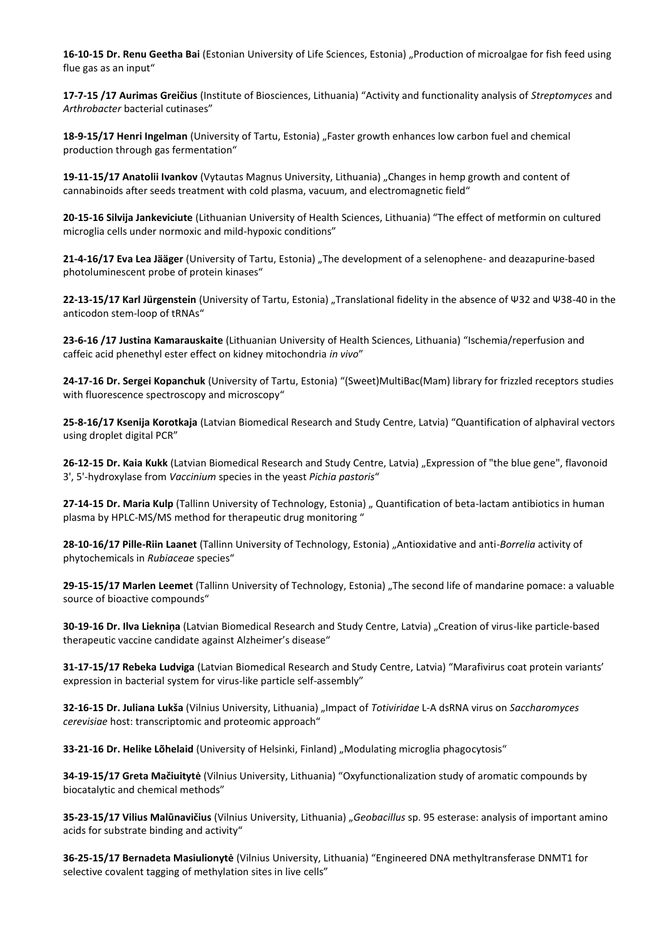16-10-15 Dr. Renu Geetha Bai (Estonian University of Life Sciences, Estonia) "Production of microalgae for fish feed using flue gas as an input"

**17-7-15 /17 Aurimas Greičius** (Institute of Biosciences, Lithuania) "Activity and functionality analysis of *Streptomyces* and *Arthrobacter* bacterial cutinases"

**18-9-15/17 Henri Ingelman** (University of Tartu, Estonia) "Faster growth enhances low carbon fuel and chemical production through gas fermentation"

**19-11-15/17 Anatolii Ivankov** (Vytautas Magnus University, Lithuania) "Changes in hemp growth and content of cannabinoids after seeds treatment with cold plasma, vacuum, and electromagnetic field"

**20-15-16 Silvija Jankeviciute** (Lithuanian University of Health Sciences, Lithuania) "The effect of metformin on cultured microglia cells under normoxic and mild-hypoxic conditions"

21-4-16/17 **Eva Lea Jääger** (University of Tartu, Estonia) "The development of a selenophene- and deazapurine-based photoluminescent probe of protein kinases"

**22-13-15/17 Karl Jürgenstein** (University of Tartu, Estonia) "Translational fidelity in the absence of Ψ32 and Ψ38-40 in the anticodon stem-loop of tRNAs"

**23-6-16 /17 Justina Kamarauskaite** (Lithuanian University of Health Sciences, Lithuania) "Ischemia/reperfusion and caffeic acid phenethyl ester effect on kidney mitochondria *in vivo*"

**24-17-16 Dr. Sergei Kopanchuk** (University of Tartu, Estonia) "(Sweet)MultiBac(Mam) library for frizzled receptors studies with fluorescence spectroscopy and microscopy"

**25-8-16/17 Ksenija Korotkaja** (Latvian Biomedical Research and Study Centre, Latvia) "Quantification of alphaviral vectors using droplet digital PCR"

**26-12-15 Dr. Kaia Kukk** (Latvian Biomedical Research and Study Centre, Latvia) "Expression of "the blue gene", flavonoid 3', 5'-hydroxylase from *Vaccinium* species in the yeast *Pichia pastoris*"

27-14-15 Dr. Maria Kulp (Tallinn University of Technology, Estonia) " Quantification of beta-lactam antibiotics in human plasma by HPLC-MS/MS method for therapeutic drug monitoring "

**28-10-16/17 Pille-Riin Laanet** (Tallinn University of Technology, Estonia) "Antioxidative and anti-*Borrelia* activity of phytochemicals in *Rubiaceae* species"

29-15-15/17 Marlen Leemet (Tallinn University of Technology, Estonia) "The second life of mandarine pomace: a valuable source of bioactive compounds"

**30-19-16 Dr. Ilva Liekniņa** (Latvian Biomedical Research and Study Centre, Latvia) "Creation of virus-like particle-based therapeutic vaccine candidate against Alzheimer's disease"

**31-17-15/17 Rebeka Ludviga** (Latvian Biomedical Research and Study Centre, Latvia) "Marafivirus coat protein variants' expression in bacterial system for virus-like particle self-assembly"

**32-16-15 Dr. Juliana Lukša** (Vilnius University, Lithuania) "Impact of *Totiviridae* L-A dsRNA virus on *Saccharomyces cerevisiae* host: transcriptomic and proteomic approach"

**33-21-16 Dr. Helike Lõhelaid** (University of Helsinki, Finland) "Modulating microglia phagocytosis"

**34-19-15/17 Greta Mačiuitytė** (Vilnius University, Lithuania) "Oxyfunctionalization study of aromatic compounds by biocatalytic and chemical methods"

**35-23-15/17 Vilius Malūnavičius** (Vilnius University, Lithuania) "*Geobacillus* sp. 95 esterase: analysis of important amino acids for substrate binding and activity"

**36-25-15/17 Bernadeta Masiulionytė** (Vilnius University, Lithuania) "Engineered DNA methyltransferase DNMT1 for selective covalent tagging of methylation sites in live cells"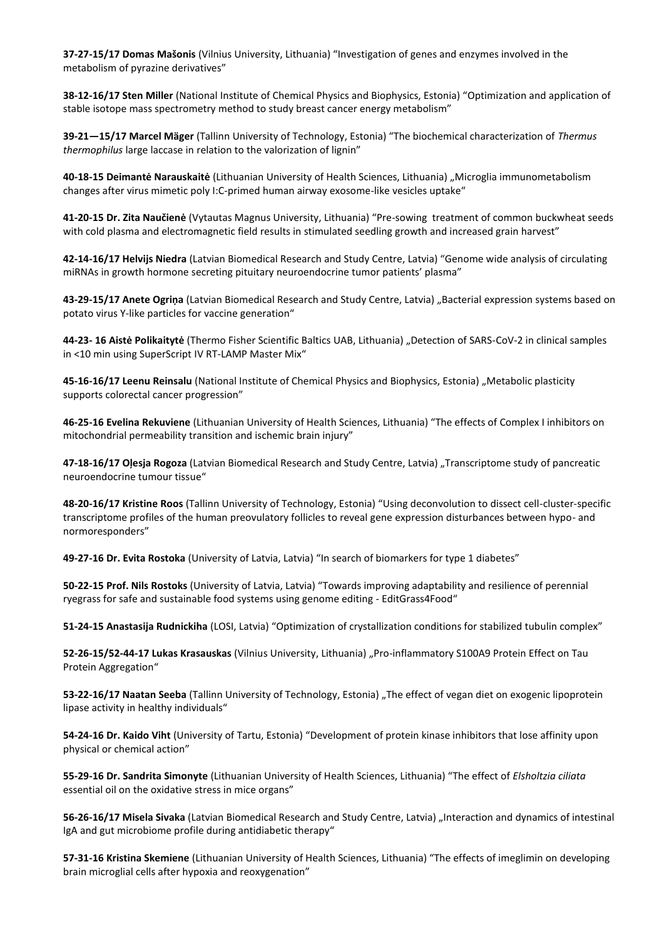**37-27-15/17 Domas Mašonis** (Vilnius University, Lithuania) "Investigation of genes and enzymes involved in the metabolism of pyrazine derivatives"

**38-12-16/17 Sten Miller** (National Institute of Chemical Physics and Biophysics, Estonia) "Optimization and application of stable isotope mass spectrometry method to study breast cancer energy metabolism"

**39-21—15/17 Marcel Mäger** (Tallinn University of Technology, Estonia) "The biochemical characterization of *Thermus thermophilus* large laccase in relation to the valorization of lignin"

**40-18-15 Deimantė Narauskaitė** (Lithuanian University of Health Sciences, Lithuania) "Microglia immunometabolism changes after virus mimetic poly I:C-primed human airway exosome-like vesicles uptake"

**41-20-15 Dr. Zita Naučienė** (Vytautas Magnus University, Lithuania) "Pre-sowing treatment of common buckwheat seeds with cold plasma and electromagnetic field results in stimulated seedling growth and increased grain harvest"

**42-14-16/17 Helvijs Niedra** (Latvian Biomedical Research and Study Centre, Latvia) "Genome wide analysis of circulating miRNAs in growth hormone secreting pituitary neuroendocrine tumor patients' plasma"

**43-29-15/17 Anete Ogriņa** (Latvian Biomedical Research and Study Centre, Latvia) "Bacterial expression systems based on potato virus Y-like particles for vaccine generation"

**44-23- 16 Aistė Polikaitytė** (Thermo Fisher Scientific Baltics UAB, Lithuania) "Detection of SARS-CoV-2 in clinical samples in <10 min using SuperScript IV RT-LAMP Master Mix"

**45-16-16/17 Leenu Reinsalu** (National Institute of Chemical Physics and Biophysics, Estonia) "Metabolic plasticity supports colorectal cancer progression"

**46-25-16 Evelina Rekuviene** (Lithuanian University of Health Sciences, Lithuania) "The effects of Complex I inhibitors on mitochondrial permeability transition and ischemic brain injury"

**47-18-16/17 Oļesja Rogoza** (Latvian Biomedical Research and Study Centre, Latvia) "Transcriptome study of pancreatic neuroendocrine tumour tissue"

**48-20-16/17 Kristine Roos** (Tallinn University of Technology, Estonia) "Using deconvolution to dissect cell-cluster-specific transcriptome profiles of the human preovulatory follicles to reveal gene expression disturbances between hypo- and normoresponders"

**49-27-16 Dr. Evita Rostoka** (University of Latvia, Latvia) "In search of biomarkers for type 1 diabetes"

**50-22-15 Prof. Nils Rostoks** (University of Latvia, Latvia) "Towards improving adaptability and resilience of perennial ryegrass for safe and sustainable food systems using genome editing - EditGrass4Food"

**51-24-15 Anastasija Rudnickiha** (LOSI, Latvia) "Optimization of crystallization conditions for stabilized tubulin complex"

**52-26-15/52-44-17 Lukas Krasauskas** (Vilnius University, Lithuania) "Pro-inflammatory S100A9 Protein Effect on Tau Protein Aggregation"

**53-22-16/17 Naatan Seeba** (Tallinn University of Technology, Estonia) "The effect of vegan diet on exogenic lipoprotein lipase activity in healthy individuals"

**54-24-16 Dr. Kaido Viht** (University of Tartu, Estonia) "Development of protein kinase inhibitors that lose affinity upon physical or chemical action"

**55-29-16 Dr. Sandrita Simonyte** (Lithuanian University of Health Sciences, Lithuania) "The effect of *Elsholtzia ciliata* essential oil on the oxidative stress in mice organs"

**56-26-16/17 Misela Sivaka** (Latvian Biomedical Research and Study Centre, Latvia) "Interaction and dynamics of intestinal IgA and gut microbiome profile during antidiabetic therapy"

**57-31-16 Kristina Skemiene** (Lithuanian University of Health Sciences, Lithuania) "The effects of imeglimin on developing brain microglial cells after hypoxia and reoxygenation"